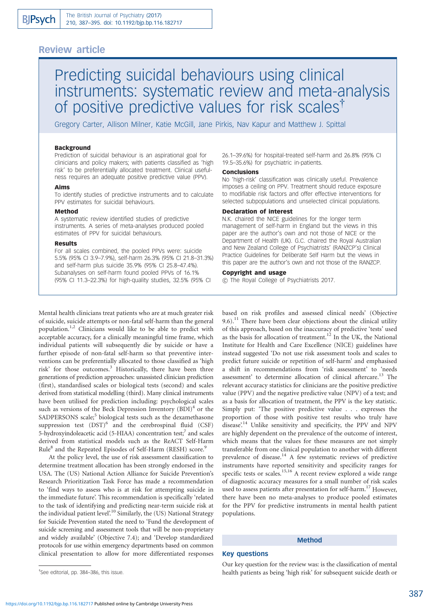# Review article

# Predicting suicidal behaviours using clinical instruments: systematic review and meta-analysis of positive predictive values for risk scales<sup>†</sup>

Gregory Carter, Allison Milner, Katie McGill, Jane Pirkis, Nav Kapur and Matthew J. Spittal

#### Background

Prediction of suicidal behaviour is an aspirational goal for clinicians and policy makers; with patients classified as 'high risk' to be preferentially allocated treatment. Clinical usefulness requires an adequate positive predictive value (PPV).

#### Aims

To identify studies of predictive instruments and to calculate PPV estimates for suicidal behaviours.

#### Method

A systematic review identified studies of predictive instruments. A series of meta-analyses produced pooled estimates of PPV for suicidal behaviours.

#### Results

For all scales combined, the pooled PPVs were: suicide 5.5% (95% CI 3.9–7.9%), self-harm 26.3% (95% CI 21.8–31.3%) and self-harm plus suicide 35.9% (95% CI 25.8–47.4%). Subanalyses on self-harm found pooled PPVs of 16.1% (95% CI 11.3–22.3%) for high-quality studies, 32.5% (95% CI

26.1–39.6%) for hospital-treated self-harm and 26.8% (95% CI 19.5–35.6%) for psychiatric in-patients.

#### **Conclusions**

No 'high-risk' classification was clinically useful. Prevalence imposes a ceiling on PPV. Treatment should reduce exposure to modifiable risk factors and offer effective interventions for selected subpopulations and unselected clinical populations.

# Declaration of interest

N.K. chaired the NICE guidelines for the longer term management of self-harm in England but the views in this paper are the author's own and not those of NICE or the Department of Health (UK). G.C. chaired the Royal Australian and New Zealand College of Psychiatrists' (RANZCP's) Clinical Practice Guidelines for Deliberate Self Harm but the views in this paper are the author's own and not those of the RANZCP.

# Copyright and usage

 $\odot$  The Royal College of Psychiatrists 2017.

Mental health clinicians treat patients who are at much greater risk of suicide, suicide attempts or non-fatal self-harm than the general population.1,2 Clinicians would like to be able to predict with acceptable accuracy, for a clinically meaningful time frame, which individual patients will subsequently die by suicide or have a further episode of non-fatal self-harm so that preventive interventions can be preferentially allocated to those classified as 'high risk' for those outcomes.<sup>3</sup> Historically, there have been three generations of prediction approaches: unassisted clinician prediction (first), standardised scales or biological tests (second) and scales derived from statistical modelling (third). Many clinical instruments have been utilised for prediction including: psychological scales such as versions of the Beck Depression Inventory  $(BDI)^4$  or the SADPERSONS scale;<sup>5</sup> biological tests such as the dexamethasone suppression test  $(DST)^6$  and the cerebrospinal fluid  $(CSF)$ 5-hydroxyindoleacetic acid (5-HIAA) concentration test;<sup>7</sup> and scales derived from statistical models such as the ReACT Self-Harm Rule<sup>8</sup> and the Repeated Episodes of Self-Harm (RESH) score.<sup>9</sup>

At the policy level, the use of risk assessment classification to determine treatment allocation has been strongly endorsed in the USA. The (US) National Action Alliance for Suicide Prevention's Research Prioritization Task Force has made a recommendation to 'find ways to assess who is at risk for attempting suicide in the immediate future'. This recommendation is specifically 'related to the task of identifying and predicting near-term suicide risk at the individual patient level'.<sup>10</sup> Similarly, the (US) National Strategy for Suicide Prevention stated the need to 'Fund the development of suicide screening and assessment tools that will be non-proprietary and widely available' (Objective 7.4); and 'Develop standardized protocols for use within emergency departments based on common clinical presentation to allow for more differentiated responses based on risk profiles and assessed clinical needs' (Objective 9.6).<sup>11</sup> There have been clear objections about the clinical utility of this approach, based on the inaccuracy of predictive 'tests' used as the basis for allocation of treatment.<sup>12</sup> In the UK, the National Institute for Health and Care Excellence (NICE) guidelines have instead suggested 'Do not use risk assessment tools and scales to predict future suicide or repetition of self-harm' and emphasised a shift in recommendations from 'risk assessment' to 'needs assessment' to determine allocation of clinical aftercare.13 The relevant accuracy statistics for clinicians are the positive predictive value (PPV) and the negative predictive value (NPV) of a test; and as a basis for allocation of treatment, the PPV is the key statistic. Simply put: 'The positive predictive value . . . expresses the proportion of those with positive test results who truly have disease<sup>'14</sup> Unlike sensitivity and specificity, the PPV and NPV are highly dependent on the prevalence of the outcome of interest, which means that the values for these measures are not simply transferable from one clinical population to another with different prevalence of disease.<sup>14</sup> A few systematic reviews of predictive instruments have reported sensitivity and specificity ranges for specific tests or scales.<sup>15,16</sup> A recent review explored a wide range of diagnostic accuracy measures for a small number of risk scales used to assess patients after presentation for self-harm.<sup>17</sup> However, there have been no meta-analyses to produce pooled estimates for the PPV for predictive instruments in mental health patient populations.

# Method

#### Key questions

Our key question for the review was: is the classification of mental health patients as being 'high risk' for subsequent suicide death or

<sup>{</sup> See editorial, pp. 384–386, this issue.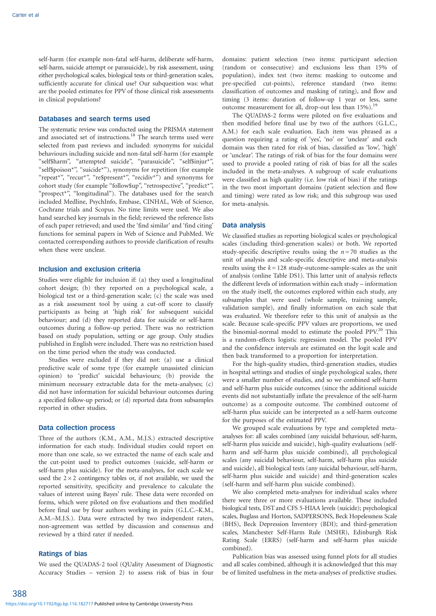self-harm (for example non-fatal self-harm, deliberate self-harm, self-harm, suicide attempt or parasuicide), by risk assessment, using either psychological scales, biological tests or third-generation scales, sufficiently accurate for clinical use? Our subquestion was: what are the pooled estimates for PPV of those clinical risk assessments in clinical populations?

#### Databases and search terms used

The systematic review was conducted using the PRISMA statement and associated set of instructions.<sup>18</sup> The search terms used were selected from past reviews and included: synonyms for suicidal behaviours including suicide and non-fatal self-harm (for example ''self\$harm'', ''attempted suicide'', ''parasuicide'', ''self\$injur\*'', "self\$poison\*", "suicide\*"), synonyms for repetition (for example "repeat\*", "recur\*", "re\$present\*", "recidiv\*") and synonyms for cohort study (for example "follow\$up", "retrospective", "predict\*", "prospect<sup>\*"</sup>, "longitudinal"). The databases used for the search included Medline, PsychInfo, Embase, CINHAL, Web of Science, Cochrane trials and Scopus. No time limits were used. We also hand searched key journals in the field; reviewed the reference lists of each paper retrieved; and used the 'find similar' and 'find citing' functions for seminal papers in Web of Science and PubMed. We contacted corresponding authors to provide clarification of results when these were unclear.

# Inclusion and exclusion criteria

Studies were eligible for inclusion if: (a) they used a longitudinal cohort design; (b) they reported on a psychological scale, a biological test or a third-generation scale; (c) the scale was used as a risk assessment tool by using a cut-off score to classify participants as being at 'high risk' for subsequent suicidal behaviour; and (d) they reported data for suicide or self-harm outcomes during a follow-up period. There was no restriction based on study population, setting or age group. Only studies published in English were included. There was no restriction based on the time period when the study was conducted.

Studies were excluded if they did not: (a) use a clinical predictive scale of some type (for example unassisted clinician opinion) to 'predict' suicidal behaviours; (b) provide the minimum necessary extractable data for the meta-analyses; (c) did not have information for suicidal behaviour outcomes during a specified follow-up period; or (d) reported data from subsamples reported in other studies.

#### Data collection process

Three of the authors (K.M., A.M., M.J.S.) extracted descriptive information for each study. Individual studies could report on more than one scale, so we extracted the name of each scale and the cut-point used to predict outcomes (suicide, self-harm or self-harm plus suicide). For the meta-analyses, for each scale we used the  $2 \times 2$  contingency tables or, if not available, we used the reported sensitivity, specificity and prevalence to calculate the values of interest using Bayes' rule. These data were recorded on forms, which were piloted on five evaluations and then modified before final use by four authors working in pairs (G.L.C.–K.M., A.M.–M.J.S.). Data were extracted by two independent raters, non-agreement was settled by discussion and consensus and reviewed by a third rater if needed.

#### Ratings of bias

We used the QUADAS-2 tool (QUality Assessment of Diagnostic Accuracy Studies – version 2) to assess risk of bias in four

domains: patient selection (two items: participant selection (random or consecutive) and exclusions less than 15% of population), index test (two items: masking to outcome and pre-specified cut-points), reference standard (two items: classification of outcomes and masking of rating), and flow and timing (3 items: duration of follow-up 1 year or less, same outcome measurement for all, drop-out less than 15%).<sup>1</sup>

The QUADAS-2 forms were piloted on five evaluations and then modified before final use by two of the authors (G.L.C., A.M.) for each scale evaluation. Each item was phrased as a question requiring a rating of 'yes', 'no' or 'unclear' and each domain was then rated for risk of bias, classified as 'low', 'high' or 'unclear'. The ratings of risk of bias for the four domains were used to provide a pooled rating of risk of bias for all the scales included in the meta-analyses. A subgroup of scale evaluations were classified as high quality (i.e. low risk of bias) if the ratings in the two most important domains (patient selection and flow and timing) were rated as low risk; and this subgroup was used for meta-analysis.

#### Data analysis

We classified studies as reporting biological scales or psychological scales (including third-generation scales) or both. We reported study-specific descriptive results using the  $n = 70$  studies as the unit of analysis and scale-specific descriptive and meta-analysis results using the  $k = 128$  study-outcome-sample-scales as the unit of analysis (online Table DS1). This latter unit of analysis reflects the different levels of information within each study – information on the study itself, the outcomes explored within each study, any subsamples that were used (whole sample, training sample, validation sample), and finally information on each scale that was evaluated. We therefore refer to this unit of analysis as the scale. Because scale-specific PPV values are proportions, we used the binomial-normal model to estimate the pooled PPV.<sup>20</sup> This is a random-effects logistic regression model. The pooled PPV and the confidence intervals are estimated on the logit scale and then back transformed to a proportion for interpretation.

For the high-quality studies, third-generation studies, studies in hospital settings and studies of single psychological scales, there were a smaller number of studies, and so we combined self-harm and self-harm plus suicide outcomes (since the additional suicide events did not substantially inflate the prevalence of the self-harm outcome) as a composite outcome. The combined outcome of self-harm plus suicide can be interpreted as a self-harm outcome for the purposes of the estimated PPV.

We grouped scale evaluations by type and completed metaanalyses for: all scales combined (any suicidal behaviour, self-harm, self-harm plus suicide and suicide), high-quality evaluations (selfharm and self-harm plus suicide combined), all psychological scales (any suicidal behaviour, self-harm, self-harm plus suicide and suicide), all biological tests (any suicidal behaviour, self-harm, self-harm plus suicide and suicide) and third-generation scales (self-harm and self-harm plus suicide combined).

We also completed meta-analyses for individual scales where there were three or more evaluations available. These included biological tests, DST and CFS 5-HIAA levels (suicide); psychological scales, Buglass and Horton, SADPERSONS, Beck Hopelessness Scale (BHS), Beck Depression Inventory (BDI); and third-generation scales, Manchester Self-Harm Rule (MSHR), Edinburgh Risk Rating Scale (ERRS) (self-harm and self-harm plus suicide combined).

Publication bias was assessed using funnel plots for all studies and all scales combined, although it is acknowledged that this may be of limited usefulness in the meta-analyses of predictive studies.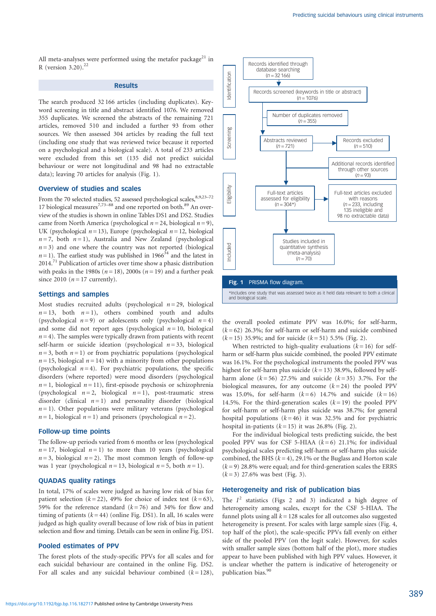All meta-analyses were performed using the metafor package<sup>21</sup> in R (version  $3.20$ ).<sup>22</sup>

#### **Results**

The search produced 32 166 articles (including duplicates). Keyword screening in title and abstract identified 1076. We removed 355 duplicates. We screened the abstracts of the remaining 721 articles, removed 510 and included a further 93 from other sources. We then assessed 304 articles by reading the full text (including one study that was reviewed twice because it reported on a psychological and a biological scale). A total of 233 articles were excluded from this set (135 did not predict suicidal behaviour or were not longitudinal and 98 had no extractable data); leaving 70 articles for analysis (Fig. 1).

#### Overview of studies and scales

From the 70 selected studies, 52 assessed psychological scales, 8,9,23-72 17 biological measures<sup>7,73–88</sup> and one reported on both.<sup>89</sup> An overview of the studies is shown in online Tables DS1 and DS2. Studies came from North America (psychological  $n = 24$ , biological  $n = 9$ ), UK (psychological  $n = 13$ ), Europe (psychological  $n = 12$ , biological  $n = 7$ , both  $n = 1$ ), Australia and New Zealand (psychological  $n = 3$ ) and one where the country was not reported (biological  $n=1$ ). The earliest study was published in 1966<sup>34</sup> and the latest in 2014.<sup>71</sup> Publication of articles over time show a phasic distribution with peaks in the 1980s ( $n = 18$ ), 2000s ( $n = 19$ ) and a further peak since 2010 ( $n = 17$  currently).

#### Settings and samples

Most studies recruited adults (psychological  $n = 29$ , biological  $n = 13$ , both  $n = 1$ ), others combined youth and adults (psychological  $n = 9$ ) or adolescents only (psychological  $n = 4$ ) and some did not report ages (psychological  $n = 10$ , biological  $n = 4$ ). The samples were typically drawn from patients with recent self-harm or suicide ideation (psychological  $n = 33$ , biological  $n = 3$ , both  $n = 1$ ) or from psychiatric populations (psychological  $n = 15$ , biological  $n = 14$ ) with a minority from other populations (psychological  $n = 4$ ). For psychiatric populations, the specific disorders (where reported) were mood disorders (psychological  $n=1$ , biological  $n=11$ ), first-episode psychosis or schizophrenia (psychological  $n = 2$ , biological  $n = 1$ ), post-traumatic stress disorder (clinical  $n = 1$ ) and personality disorder (biological  $n=1$ ). Other populations were military veterans (psychological  $n=1$ , biological  $n=1$ ) and prisoners (psychological  $n=2$ ).

#### Follow-up time points

The follow-up periods varied from 6 months or less (psychological  $n = 17$ , biological  $n = 1$ ) to more than 10 years (psychological  $n=3$ , biological  $n=2$ ). The most common length of follow-up was 1 year (psychological  $n = 13$ , biological  $n = 5$ , both  $n = 1$ ).

# QUADAS quality ratings

In total, 17% of scales were judged as having low risk of bias for patient selection ( $k = 22$ ), 49% for choice of index test ( $k = 63$ ), 59% for the reference standard  $(k=76)$  and 34% for flow and timing of patients  $(k = 44)$  (online Fig. DS1). In all, 16 scales were judged as high quality overall because of low risk of bias in patient selection and flow and timing. Details can be seen in online Fig. DS1.

#### Pooled estimates of PPV

The forest plots of the study-specific PPVs for all scales and for each suicidal behaviour are contained in the online Fig. DS2. For all scales and any suicidal behaviour combined  $(k = 128)$ ,



the overall pooled estimate PPV was 16.0%; for self-harm,  $(k=62)$  26.3%; for self-harm or self-harm and suicide combined  $(k=15)$  35.9%; and for suicide  $(k=51)$  5.5% (Fig. 2).

When restricted to high-quality evaluations  $(k = 16)$  for selfharm or self-harm plus suicide combined, the pooled PPV estimate was 16.1%. For the psychological instruments the pooled PPV was highest for self-harm plus suicide  $(k = 13)$  38.9%, followed by selfharm alone  $(k = 56)$  27.5% and suicide  $(k = 35)$  3.7%. For the biological measures, for any outcome  $(k=24)$  the pooled PPV was 15.0%, for self-harm  $(k=6)$  14.7% and suicide  $(k=16)$ 14.5%. For the third-generation scales  $(k=19)$  the pooled PPV for self-harm or self-harm plus suicide was 38.7%; for general hospital populations  $(k = 46)$  it was 32.5% and for psychiatric hospital in-patients  $(k = 15)$  it was 26.8% (Fig. 2).

For the individual biological tests predicting suicide, the best pooled PPV was for CSF 5-HIAA  $(k=6)$  21.1%; for individual psychological scales predicting self-harm or self-harm plus suicide combined, the BHS  $(k = 4)$ , 29.1% or the Buglass and Horton scale  $(k=9)$  28.8% were equal; and for third-generation scales the ERRS  $(k=3)$  27.6% was best (Fig. 3).

# Heterogeneity and risk of publication bias

The  $I^2$  statistics (Figs 2 and 3) indicated a high degree of heterogeneity among scales, except for the CSF 5-HIAA. The funnel plots using all  $k = 128$  scales for all outcomes also suggested heterogeneity is present. For scales with large sample sizes (Fig. 4, top half of the plot), the scale-specific PPVs fall evenly on either side of the pooled PPV (on the logit scale). However, for scales with smaller sample sizes (bottom half of the plot), more studies appear to have been published with high PPV values. However, it is unclear whether the pattern is indicative of heterogeneity or publication bias.<sup>90</sup>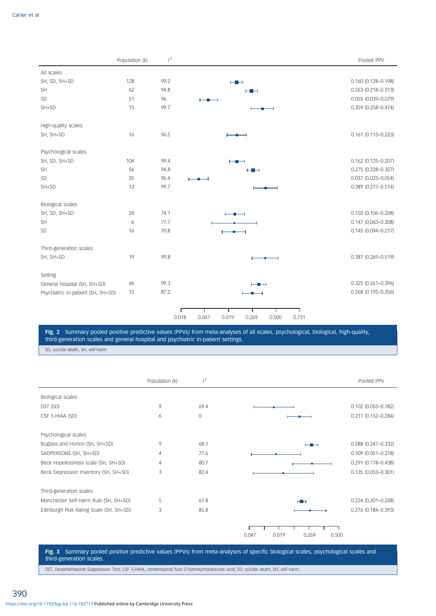|                                    | Population (k) | $l^2$ |                                                    | Pooled PPV             |
|------------------------------------|----------------|-------|----------------------------------------------------|------------------------|
| All scales                         |                |       |                                                    |                        |
| SH, SD, SH+SD                      | 128            | 99.2  | $\vdash \blacksquare \dashv$                       | 0.160 (0.128-0.198)    |
| <b>SH</b>                          | 62             | 94.8  | ⊢∎⊣                                                | $0.263(0.218 - 0.313)$ |
| SD                                 | 51             | 96    |                                                    | $0.055(0.039 - 0.079)$ |
| $SH+SD$                            | 15             | 99.7  |                                                    | 0.359 (0.258-0.474)    |
| High-quality scales                |                |       |                                                    |                        |
| SH, SH+SD                          | 16             | 96.5  |                                                    | $0.161(0.113 - 0.223)$ |
| Psychological scales               |                |       |                                                    |                        |
| SH, SD, SH+SD                      | 104            | 99.4  | ⊢∎⊣                                                | $0.162$ (0.125-0.207)  |
| <b>SH</b>                          | 56             | 94.8  | ⊢∎⊣                                                | $0.275(0.228 - 0.327)$ |
| SD                                 | 35             | 96.4  |                                                    | $0.037$ (0.025-0.054)  |
| $SH+SD$                            | 13             | 99.7  |                                                    | 0.389 (0.277-0.514)    |
| <b>Biological scales</b>           |                |       |                                                    |                        |
| SH, SD, SH+SD                      | 24             | 74.1  |                                                    | $0.150(0.106 - 0.208)$ |
| <b>SH</b>                          | 6              | 77.7  |                                                    | $0.147(0.063 - 0.308)$ |
| SD                                 | 16             | 70.8  |                                                    | $0.145(0.094 - 0.217)$ |
| Third-generation scales            |                |       |                                                    |                        |
| SH, SH+SD                          | 19             | 99.8  |                                                    | 0.387 (0.269-0.519)    |
| Setting                            |                |       |                                                    |                        |
| General hospital (SH, SH+SD)       | 46             | 99.3  |                                                    | $0.325(0.261 - 0.396)$ |
| Psychiatric in-patient (SH, SH+SD) | 15             | 87.2  |                                                    | $0.268$ (0.195-0.356)  |
|                                    |                |       | 0.018<br>0.047<br>0.019<br>0.269<br>0.500<br>0.731 |                        |

Fig. 2 Summary pooled positive predictive values (PPVs) from meta-analyses of all scales, psychological, biological, high-quality, third-generation scales and general hospital and psychiatric in-patient settings.

SD, suicide death, SH, self-harm.

|                                         | Population (k) | $1^2$        |                                  | Pooled PPV             |
|-----------------------------------------|----------------|--------------|----------------------------------|------------------------|
| Biological scales                       |                |              |                                  |                        |
| DST (SD)                                | 9              | 69.4         |                                  | $0.102$ (0.055-0.182)  |
| CSF 5-HIAA (SD)                         | 6              | $\mathbf{0}$ |                                  | $0.211(0.152 - 0.284)$ |
| Psychological scales                    |                |              |                                  |                        |
| Buglass and Horton (SH, SH+SD)          | 9              | 68.1         | --                               | $0.288$ (0.247-0.332)  |
| SADPERSONS (SH, SH+SD)                  | 4              | 77.6         |                                  | $0.109(0.051 - 0.218)$ |
| Beck Hopelessness scale (SH, SH+SD)     | 4              | 80.7         |                                  | $0.291(0.178 - 0.438)$ |
| Beck Depression Inventory (SH, SH+SD)   | 3              | 82.4         |                                  | $0.135(0.053 - 0.301)$ |
| Third-generation scales                 |                |              |                                  |                        |
| Manchester Self-Harm Rule (SH, SH+SD)   | 5              | 61.8         | $H \rightarrow$                  | $0.224$ (0.201-0.248)  |
| Edinburgh Risk Rating Scale (SH, SH+SD) | 3              | 85.8         |                                  | $0.276$ (0.184-0.393)  |
|                                         |                |              | 0.047<br>0.019<br>0.269<br>0.500 |                        |

Fig. 3 Summary pooled positive predictive values (PPVs) from meta-analyses of specific biological scales, psychological scales and third-generation scales.

DST, Dexamethasone Suppression Test; CSF 5-HIAA, cerebrospinal fluid 5-hydroxyindoleacetic acid; SD, suicide death, SH, self-harm.

390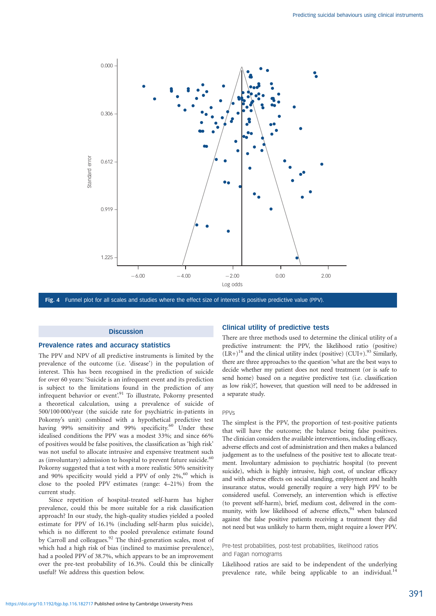

Fig. 4 Funnel plot for all scales and studies where the effect size of interest is positive predictive value (PPV).

#### **Discussion**

#### Prevalence rates and accuracy statistics

The PPV and NPV of all predictive instruments is limited by the prevalence of the outcome (i.e. 'disease') in the population of interest. This has been recognised in the prediction of suicide for over 60 years: 'Suicide is an infrequent event and its prediction is subject to the limitations found in the prediction of any infrequent behavior or event'.<sup>91</sup> To illustrate, Pokorny presented a theoretical calculation, using a prevalence of suicide of 500/100 000/year (the suicide rate for psychiatric in-patients in Pokorny's unit) combined with a hypothetical predictive test having 99% sensitivity and 99% specificity.<sup>60</sup> Under these idealised conditions the PPV was a modest 33%; and since 66% of positives would be false positives, the classification as 'high risk' was not useful to allocate intrusive and expensive treatment such as (involuntary) admission to hospital to prevent future suicide.<sup>60</sup> Pokorny suggested that a test with a more realistic 50% sensitivity and 90% specificity would yield a PPV of only  $2\%$ , which is close to the pooled PPV estimates (range: 4–21%) from the current study.

Since repetition of hospital-treated self-harm has higher prevalence, could this be more suitable for a risk classification approach? In our study, the high-quality studies yielded a pooled estimate for PPV of 16.1% (including self-harm plus suicide), which is no different to the pooled prevalence estimate found by Carroll and colleagues.<sup>92</sup> The third-generation scales, most of which had a high risk of bias (inclined to maximise prevalence), had a pooled PPV of 38.7%, which appears to be an improvement over the pre-test probability of 16.3%. Could this be clinically useful? We address this question below.

# Clinical utility of predictive tests

There are three methods used to determine the clinical utility of a predictive instrument: the PPV, the likelihood ratio (positive)  $(LR+)$ <sup>14</sup> and the clinical utility index (positive) (CUI+).<sup>93</sup> Similarly, there are three approaches to the question 'what are the best ways to decide whether my patient does not need treatment (or is safe to send home) based on a negative predictive test (i.e. classification as low risk)?', however, that question will need to be addressed in a separate study.

#### PPVs

The simplest is the PPV, the proportion of test-positive patients that will have the outcome; the balance being false positives. The clinician considers the available interventions, including efficacy, adverse effects and cost of administration and then makes a balanced judgement as to the usefulness of the positive test to allocate treatment. Involuntary admission to psychiatric hospital (to prevent suicide), which is highly intrusive, high cost, of unclear efficacy and with adverse effects on social standing, employment and health insurance status, would generally require a very high PPV to be considered useful. Conversely, an intervention which is effective (to prevent self-harm), brief, medium cost, delivered in the community, with low likelihood of adverse effects,  $94$  when balanced against the false positive patients receiving a treatment they did not need but was unlikely to harm them, might require a lower PPV.

Pre-test probabilities, post-test probabilities, likelihood ratios and Fagan nomograms

Likelihood ratios are said to be independent of the underlying prevalence rate, while being applicable to an individual.<sup>14</sup>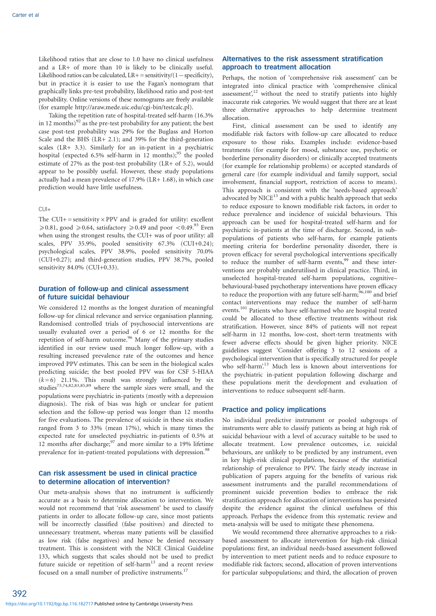Likelihood ratios that are close to 1.0 have no clinical usefulness and a LR+ of more than 10 is likely to be clinically useful. Likelihood ratios can be calculated,  $LR$  + = sensitivity/(1 - specificity), but in practice it is easier to use the Fagan's nomogram that graphically links pre-test probability, likelihood ratio and post-test probability. Online versions of these nomograms are freely available (for example http://araw.mede.uic.edu/cgi-bin/testcalc.pl).

Taking the repetition rate of hospital-treated self-harm (16.3% in 12 months) $92$  as the pre-test probability for any patient; the best case post-test probability was 29% for the Buglass and Horton Scale and the BHS (LR+ 2.1); and 39% for the third-generation scales (LR+ 3.3). Similarly for an in-patient in a psychiatric hospital (expected 6.5% self-harm in  $12$  months);<sup>95</sup> the pooled estimate of 27% as the post-test probability (LR+ of 5.2), would appear to be possibly useful. However, these study populations actually had a mean prevalence of 17.9% (LR+ 1.68), in which case prediction would have little usefulness.

#### $CU1+$

The CUI+ = sensitivity  $\times$  PPV and is graded for utility: excellent  $\geq 0.81$ , good  $\geq 0.64$ , satisfactory  $\geq 0.49$  and poor <0.49.<sup>93</sup> Even when using the strongest results, the CUI+ was of poor utility: all scales, PPV 35.9%, pooled sensitivity 67.3% (CUI+0.24); psychological scales, PPV 38.9%, pooled sensitivity 70.0% (CUI+0.27); and third-generation studies, PPV 38.7%, pooled sensitivity 84.0% (CUI+0.33).

# Duration of follow-up and clinical assessment of future suicidal behaviour

We considered 12 months as the longest duration of meaningful follow-up for clinical relevance and service organisation planning. Randomised controlled trials of psychosocial interventions are usually evaluated over a period of 6 or 12 months for the repetition of self-harm outcome.<sup>96</sup> Many of the primary studies identified in our review used much longer follow-up, with a resulting increased prevalence rate of the outcomes and hence improved PPV estimates. This can be seen in the biological scales predicting suicide; the best pooled PPV was for CSF 5-HIAA  $(k=6)$  21.1%. This result was strongly influenced by six studies73,74,82,83,85,89 where the sample sizes were small, and the populations were psychiatric in-patients (mostly with a depression diagnosis). The risk of bias was high or unclear for patient selection and the follow-up period was longer than 12 months for five evaluations. The prevalence of suicide in these six studies ranged from 3 to 33% (mean 17%), which is many times the expected rate for unselected psychiatric in-patients of 0.5% at 12 months after discharge; $97$  and more similar to a 19% lifetime prevalence for in-patient-treated populations with depression.<sup>98</sup>

# Can risk assessment be used in clinical practice to determine allocation of intervention?

Our meta-analysis shows that no instrument is sufficiently accurate as a basis to determine allocation to intervention. We would not recommend that 'risk assessment' be used to classify patients in order to allocate follow-up care, since most patients will be incorrectly classified (false positives) and directed to unnecessary treatment, whereas many patients will be classified as low risk (false negatives) and hence be denied necessary treatment. This is consistent with the NICE Clinical Guideline 133, which suggests that scales should not be used to predict future suicide or repetition of self-harm<sup>13</sup> and a recent review focused on a small number of predictive instruments.<sup>17</sup>

# Alternatives to the risk assessment stratification approach to treatment allocation

Perhaps, the notion of 'comprehensive risk assessment' can be integrated into clinical practice with 'comprehensive clinical assessment',<sup>12</sup> without the need to stratify patients into highly inaccurate risk categories. We would suggest that there are at least three alternative approaches to help determine treatment allocation.

First, clinical assessment can be used to identify any modifiable risk factors with follow-up care allocated to reduce exposure to those risks. Examples include: evidence-based treatments (for example for mood, substance use, psychotic or borderline personality disorders) or clinically accepted treatments (for example for relationship problems) or accepted standards of general care (for example individual and family support, social involvement, financial support, restriction of access to means). This approach is consistent with the 'needs-based approach' advocated by NICE<sup>13</sup> and with a public health approach that seeks to reduce exposure to known modifiable risk factors, in order to reduce prevalence and incidence of suicidal behaviours. This approach can be used for hospital-treated self-harm and for psychiatric in-patients at the time of discharge. Second, in subpopulations of patients who self-harm, for example patients meeting criteria for borderline personality disorder, there is proven efficacy for several psychological interventions specifically to reduce the number of self-harm events,  $99$  and these interventions are probably underutilised in clinical practice. Third, in unselected hospital-treated self-harm populations, cognitive– behavioural-based psychotherapy interventions have proven efficacy to reduce the proportion with any future self-harm; $\frac{96,100}{2}$  and brief contact interventions may reduce the number of self-harm events.<sup>101</sup> Patients who have self-harmed who are hospital treated could be allocated to these effective treatments without risk stratification. However, since 84% of patients will not repeat self-harm in 12 months, low-cost, short-term treatments with fewer adverse effects should be given higher priority. NICE guidelines suggest 'Consider offering 3 to 12 sessions of a psychological intervention that is specifically structured for people who self-harm'.<sup>13</sup> Much less is known about interventions for the psychiatric in-patient population following discharge and these populations merit the development and evaluation of interventions to reduce subsequent self-harm.

# Practice and policy implications

No individual predictive instrument or pooled subgroups of instruments were able to classify patients as being at high risk of suicidal behaviour with a level of accuracy suitable to be used to allocate treatment. Low prevalence outcomes, i.e. suicidal behaviours, are unlikely to be predicted by any instrument, even in key high-risk clinical populations, because of the statistical relationship of prevalence to PPV. The fairly steady increase in publication of papers arguing for the benefits of various risk assessment instruments and the parallel recommendations of prominent suicide prevention bodies to embrace the risk stratification approach for allocation of interventions has persisted despite the evidence against the clinical usefulness of this approach. Perhaps the evidence from this systematic review and meta-analysis will be used to mitigate these phenomena.

We would recommend three alternative approaches to a riskbased assessment to allocate intervention for high-risk clinical populations: first, an individual needs-based assessment followed by intervention to meet patient needs and to reduce exposure to modifiable risk factors; second, allocation of proven interventions for particular subpopulations; and third, the allocation of proven

392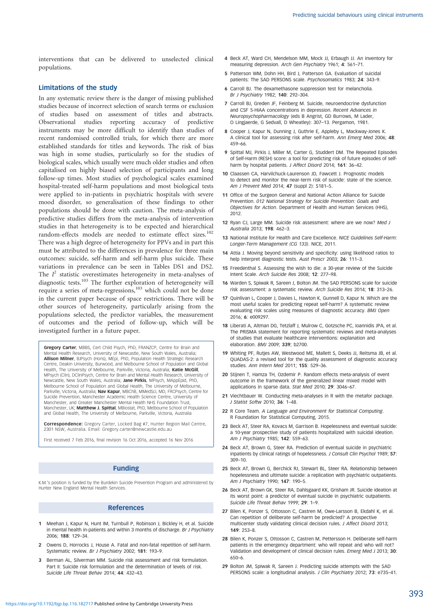interventions that can be delivered to unselected clinical populations.

#### Limitations of the study

In any systematic review there is the danger of missing published studies because of incorrect selection of search terms or exclusion of studies based on assessment of titles and abstracts. Observational studies reporting accuracy of predictive instruments may be more difficult to identify than studies of recent randomised controlled trials, for which there are more established standards for titles and keywords. The risk of bias was high in some studies, particularly so for the studies of biological scales, which usually were much older studies and often capitalised on highly biased selection of participants and long follow-up times. Most studies of psychological scales examined hospital-treated self-harm populations and most biological tests were applied to in-patients in psychiatric hospitals with severe mood disorder, so generalisation of these findings to other populations should be done with caution. The meta-analysis of predictive studies differs from the meta-analysis of intervention studies in that heterogeneity is to be expected and hierarchical random-effects models are needed to estimate effect sizes.<sup>102</sup> There was a high degree of heterogeneity for PPVs and in part this must be attributed to the differences in prevalence for three main outcomes: suicide, self-harm and self-harm plus suicide. These variations in prevalence can be seen in Tables DS1 and DS2. The  $I^2$  statistic overestimates heterogeneity in meta-analyses of diagnostic tests.103 The further exploration of heterogeneity will require a series of meta-regressions,<sup>103</sup> which could not be done in the current paper because of space restrictions. There will be other sources of heterogeneity, particularly arising from the populations selected, the predictor variables, the measurement of outcomes and the period of follow-up, which will be investigated further in a future paper.

Gregory Carter, MBBS, Cert Child Psych, PhD, FRANZCP, Centre for Brain and Mental Health Research, University of Newcastle, New South Wales, Australia; Allison Milner, BJPsych (Hons), MEpi, PhD, Population Health Strategic Research Centre, Deakin University, Burwood, and Melbourne School of Population and Global Health, The University of Melbourne, Parkville, Victoria, Australia; Katie McGill, MPsych (Clin), DClinPsych, Centre for Brain and Mental Health Research, University of Newcastle, New South Wales, Australia; Jane Pirkis, MPsych, MAppEpid, PhD, Melbourne School of Population and Global Health, The University of Melbourne, Parkville, Victoria, Australia; Nav Kapur, MBChB, MMedSci, MD, FRCPsych, Centre for Suicide Prevention, Manchester Academic Health Science Centre, University of Manchester, and Greater Manchester Mental Health NHS Foundation Trust, Manchester, UK; Matthew J. Spittal, MBiostat, PhD, Melbourne School of Population and Global Health, The University of Melbourne, Parkville, Victoria, Australia

**Correspondence:** Gregory Carter, Locked Bag #7, Hunter Region Mail Centre,<br>2301 NSW, Australia. Email: Gregory.carter@newcastle.edu.au

First received 7 Feb 2016, final revision 16 Oct 2016, accepted 16 Nov 2016

# Funding

K.M.'s position is funded by the Burdekin Suicide Prevention Program and administered by Hunter New England Mental Health Services.

#### References

- Meehan J, Kapur N, Hunt IM, Turnbull P, Robinson J, Bickley H, et al. Suicide in mental health in-patients and within 3 months of discharge. Br J Psychiatry 2006; 188: 129–34.
- 2 Owens D, Horrocks J, House A. Fatal and non-fatal repetition of self-harm. Systematic review. Br J Psychiatry 2002; 181: 193–9.
- 3 Berman AL, Silverman MM. Suicide risk assessment and risk formulation. Part II: Suicide risk formulation and the determination of levels of risk. Suicide Life Threat Behav 2014; 44: 432–43.
- 4 Beck AT, Ward CH, Mendelson MM, Mock JJ, Erbaugh JJ. An inventory for measuring depression. Arch Gen Psychiatry 1961; 4: 561–71.
- 5 Patterson WM, Dohn HH, Bird J, Patterson GA. Evaluation of suicidal patients: The SAD PERSONS scale. Psychosomatics 1983; 24: 343–9.
- 6 Carroll BJ. The dexamethasone suppression test for melancholia. Br J Psychiatry 1982; 140: 292–304.
- 7 Carroll BJ, Greden JF, Feinberg M. Suicide, neuroendocrine dysfunction and CSF 5-HIAA concentrations in depression. Recent Advances in Neuropsychopharmacology (eds B Angrist, GD Burrows, M Lader, O Lingjaerde, G Sedvall, D Wheatley): 307–13. Pergamon, 1981.
- 8 Cooper J, Kapur N, Dunning J, Guthrie E, Appleby L, Mackway-Jones K. A clinical tool for assessing risk after self-harm. Ann Emerg Med 2006; 48: 459–66.
- 9 Spittal MJ, Pirkis J, Miller M, Carter G, Studdert DM. The Repeated Episodes of Self-Harm (RESH) score: a tool for predicting risk of future episodes of selfharm by hospital patients. *J Affect Disord 2014*: **161**: 36-42.
- 10 Claassen CA, Harvilchuck-Laurenson JD, Fawcett J. Prognostic models to detect and monitor the near-term risk of suicide: state of the science. Am J Prevent Med 2014; 47 (suppl 2): S181–5.
- 11 Office of the Surgeon General and National Action Alliance for Suicide Prevention. 012 National Strategy for Suicide Prevention: Goals and Objectives for Action. Department of Health and Human Services (HHS), 2012.
- 12 Ryan CJ, Large MM. Suicide risk assessment: where are we now? Med J Australia 2013; 198: 462–3.
- 13 National Institute for Health and Care Excellence. NICE Guidelines Self-Harm: Longer-Term Management (CG 133). NICE, 2011.
- 14 Attia J. Moving beyond sensitivity and specificity: using likelihood ratios to help interpret diagnostic tests. Aust Prescr 2003; 26: 111–3.
- 15 Freedenthal S. Assessing the wish to die: a 30-year review of the Suicide Intent Scale. Arch Suicide Res 2008; 12: 277–98.
- 16 Warden S, Spiwak R, Sareen J, Bolton JM. The SAD PERSONS scale for suicide risk assessment: a systematic review. Arch Suicide Res 2014; 18: 313–26.
- 17 Ouinlivan L, Cooper J, Davies L, Hawton K, Gunnell D, Kapur N, Which are the most useful scales for predicting repeat self-harm? A systematic review evaluating risk scales using measures of diagnostic accuracy. BMJ Open 2016; 6: e009297.
- 18 Liberati A, Altman DG, Tetzlaff J, Mulrow C, Gotzsche PC, Ioannidis JPA, et al. The PRISMA statement for reporting systematic reviews and meta-analyses of studies that evaluate healthcare interventions: explanation and elaboration. BMJ 2009; 339; b2700.
- 19 Whiting PF, Rutjes AW, Westwood ME, Mallett S, Deeks JJ, Reitsma JB, et al. QUADAS-2: a revised tool for the quality assessment of diagnostic accuracy studies. Ann Intern Med 2011; 155: 529–36.
- 20 Stijnen T, Hamza TH, Ozdemir P. Random effects meta-analysis of event outcome in the framework of the generalized linear mixed model with applications in sparse data. Stat Med 2010; 29: 3046–67.
- 21 Viechtbauer W. Conducting meta-analyses in R with the metafor package. J Statist Softw 2010; 36: 1–48.
- 22 R Core Team. A Language and Environment for Statistical Computing. R Foundation for Statistical Computing, 2015.
- 23 Beck AT, Steer RA, Kovacs M, Garrison B, Hopelessness and eventual suicide: a 10-year prospective study of patients hospitalized with suicidal ideation. Am J Psychiatry 1985; 142: 559–63.
- 24 Beck AT, Brown G, Steer RA. Prediction of eventual suicide in psychiatric inpatients by clinical ratings of hopelessness. J Consult Clin Psychol 1989; 57: 309–10.
- 25 Beck AT, Brown G, Berchick RJ, Stewart BL, Steer RA. Relationship between hopelessness and ultimate suicide: a replication with psychiatric outpatients. Am J Psychiatry 1990; 147: 190–5.
- 26 Beck AT, Brown GK, Steer RA, Dahlsgaard KK, Grisham JR. Suicide ideation at its worst point: a predictor of eventual suicide in psychiatric outpatients. Suicide Life Threat Behav 1999; 29: 1–9.
- 27 Bilen K, Ponzer S, Ottosson C, Castren M, Owe-Larsson B, Ekdahl K, et al. Can repetition of deliberate self-harm be predicted? A prospective multicenter study validating clinical decision rules. J Affect Disord 2013; 149: 253–8.
- 28 Bilen K, Ponzer S, Ottosson C, Castren M, Pettersson H. Deliberate self-harm patients in the emergency department: who will repeat and who will not? Validation and development of clinical decision rules. Emerg Med J 2013; 30: 650–6.
- 29 Bolton JM, Spiwak R, Sareen J. Predicting suicide attempts with the SAD PERSONS scale: a longitudinal analysis. J Clin Psychiatry 2012; 73: e735-41.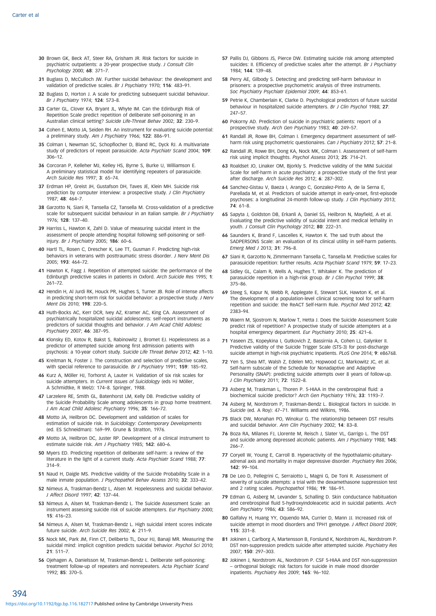- 30 Brown GK, Beck AT, Steer RA, Grisham JR. Risk factors for suicide in psychiatric outpatients: a 20-year prospective study. J Consult Clin Psychology 2000; 68: 371–7.
- 31 Buglass D, McCulloch JW. Further suicidal behaviour: the development and validation of predictive scales. Br J Psychiatry 1970; 116: 483-91.
- 32 Buglass D, Horton J. A scale for predicting subsequent suicidal behaviour. Br J Psychiatry 1974; 124: 573–8.
- 33 Carter GL, Clover KA, Bryant JL, Whyte IM. Can the Edinburgh Risk of Repetition Scale predict repetition of deliberate self-poisoning in an Australian clinical setting? Suicide Life-Threat Behav 2002; 32: 230–9.
- 34 Cohen E, Motto JA, Seiden RH. An instrument for evaluating suicide potential: a preliminary study. Am J Psychiatry 1966; 122: 886–91.
- 35 Colman I, Newman SC, Schopflocher D, Bland RC, Dyck RJ. A multivariate study of predictors of repeat parasuicide. Acta Psychiatr Scand 2004: 109: 306–12.
- 36 Corcoran P, Kelleher MJ, Kelley HS, Byrne S, Burke U, Williamson E. A preliminary statistical model for identifying repeaters of parasuicide. Arch Suicide Res 1997; 3: 65–74.
- 37 Erdman HP, Greist JH, Gustafson DH, Taves JE, Klein MH. Suicide risk prediction by computer interview: a prospective study. J Clin Psychiatry 1987; 48: 464–7.
- 38 Garzotto N, Siani R, Tansella CZ, Tansella M. Cross-validation of a predictive scale for subsequent suicidal behaviour in an Italian sample. Br J Psychiatry 1976; 128: 137–40.
- 39 Harriss L, Hawton K, Zahl D. Value of measuring suicidal intent in the assessment of people attending hospital following self-poisoning or selfinjury. Br J Psychiatry 2005; 186: 60–6.
- 40 Hartl TL, Rosen C, Drescher K, Lee TT, Gusman F. Predicting high-risk behaviors in veterans with posttraumatic stress disorder. J Nerv Ment Dis 2005; 193: 464–72.
- 41 Hawton K, Fagg J. Repetition of attempted suicide: the performance of the Edinburgh predictive scales in patients in Oxford. Arch Suicide Res 1995; 1: 261–72.
- 42 Hendin H, Al Jurdi RK, Houck PR, Hughes S, Turner JB. Role of intense affects in predicting short-term risk for suicidal behavior: a prospective study. J Nerv Ment Dis 2010; 198: 220–5.
- 43 Huth-Bocks AC, Kerr DCR, Ivey AZ, Kramer AC, King CA. Assessment of psychiatrically hospitalized suicidal adolescents: self-report instruments as predictors of suicidal thoughts and behavior. J Am Acad Child Adolesc Psychiatry 2007; 46: 387–95.
- 44 Klonsky ED, Kotov R, Bakst S, Rabinowitz J, Bromet EJ. Hopelessness as a predictor of attempted suicide among first admission patients with psychosis: a 10-year cohort study. Suicide Life Threat Behav 2012; 42: 1–10.
- 45 Kreitman N, Foster J. The construction and selection of predictive scales, with special reference to parasuicide. Br J Psychiatry 1991; 159: 185-92.
- 46 Kurz A, Möller HJ, Torhorst A, Lauter H. Validation of six risk scales for suicide attempters. In Current Issues of Suicidology (eds HJ Möller, A Schmidtke, R Welz): 174–8. Springer, 1988.
- 47 Larzelere RE, Smith GL, Batenhorst LM, Kelly DB. Predictive validity of the Suicide Probability Scale among adolescents in group home treatment. J Am Acad Child Adolesc Psychiatry 1996; 35: 166–72.
- 48 Motto JA, Heilbron DC. Development and validation of scales for estimation of suicide risk. In Suicidology: Contemporary Developments (ed. ES Schneidman): 169–99. Grune & Stratton, 1976.
- 49 Motto JA, Heilbron DC, Juster RP. Development of a clinical instrument to estimate suicide risk. Am J Psychiatry 1985; 142: 680–6.
- 50 Myers ED. Predicting repetition of deliberate self-harm: a review of the literature in the light of a current study. Acta Psychiatr Scand 1988; 77: 314–9.
- 51 Naud H, Daigle MS. Predictive validity of the Suicide Probability Scale in a male inmate population. J Psychopathol Behav Assess 2010; 32: 333-42.
- 52 Nimeus A, Traskman-Bendz L, Alsen M. Hopelessness and suicidal behavior. J Affect Disord 1997; 42: 137–44.
- 53 Nimeus A, Alsen M, Traskman-Bendz L. The Suicide Assessment Scale: an instrument assessing suicide risk of suicide attempters. Eur Psychiatry 2000; 15: 416–23.
- 54 Nimeus A, Alsen M, Traskman-Bendz L. High suicidal intent scores indicate future suicide. Arch Suicide Res 2002; 6: 211–9.
- 55 Nock MK, Park JM, Finn CT, Deliberto TL, Dour HJ, Banaji MR. Measuring the suicidal mind: implicit cognition predicts suicidal behavior. Psychol Sci 2010; 21: 511–7.
- 56 Ojehagen A, Danielsson M, Traskman-Bendz L. Deliberate self-poisoning: treatment follow-up of repeaters and nonrepeaters. Acta Psychiatr Scand 1992; 85: 370–5.
- 57 Pallis DJ, Gibbons JS, Pierce DW. Estimating suicide risk among attempted suicides: II. Efficiency of predictive scales after the attempt. Br J Psychiatry 1984; 144: 139–48.
- 58 Perry AE, Gilbody S. Detecting and predicting self-harm behaviour in prisoners: a prospective psychometric analysis of three instruments. Soc Psychiatry Psychiatr Epidemiol 2009; 44: 853–61.
- 59 Petrie K, Chamberlain K, Clarke D. Psychological predictors of future suicidal behaviour in hospitalized suicide attempters. Br J Clin Psychol 1988; 27: 247–57.
- 60 Pokorny AD. Prediction of suicide in psychiatric patients: report of a prospective study. Arch Gen Psychiatry 1983; 40: 249–57.
- 61 Randall JR, Rowe BH, Colman I. Emergency department assessment of selfharm risk using psychometric questionaires. Can J Psychiatry 2012; 57: 21-8.
- 62 Randall JR, Rowe BH, Dong KA, Nock MK, Colman I. Assessment of self-harm risk using implicit thoughts. Psychol Assess 2013; 25: 714–21.
- 63 Roaldset JO, Linaker OM, Bjorkly S. Predictive validity of the MINI Suicidal Scale for self-harm in acute psychiatry: a prospective study of the first year after discharge. Arch Suicide Res 2012; 6: 287–302.
- 64 Sanchez-Gistau V, Baeza I, Arango C, Gonzalez-Pinto A, de la Serna E, Parellada M, et al. Predictors of suicide attempt in early-onset, first-episode psychoses: a longitudinal 24-month follow-up study. J Clin Psychiatry 2013; 74: 61–8.
- 65 Sapyta J, Goldston DB, Erkanli A, Daniel SS, Heilbron N, Mayfield, A et al. Evaluating the predictive validity of suicidal intent and medical lethality in youth. J Consult Clin Psychology 2012; 80: 222-31.
- 66 Saunders K, Brand F, Lascelles K, Hawton K. The sad truth about the SADPERSONS Scale: an evaluation of its clinical utility in self-harm patients. Emerg Med J 2013; 31: 796–8.
- 67 Siani R, Garzotto N, Zimmermann Tansella C, Tansella M. Predictive scales for parasuicide repetition: further results. Acta Psychiatr Scand 1979; 59: 17–23.
- 68 Sidley GL, Calam R, Wells A, Hughes T, Whitaker K. The prediction of parasuicide repetition in a high-risk group. Br J Clin Psychol 1999; 38: 375–86.
- 69 Steeg S, Kapur N, Webb R, Applegate E, Stewart SLK, Hawton K, et al. The development of a population-level clinical screening tool for self-harm repetition and suicide: the ReACT Self-Harm Rule. Psychol Med 2012; 42: 2383–94.
- 70 Waern M, Sjostrom N, Marlow T, Hetta J. Does the Suicide Assessment Scale predict risk of repetition? A prospective study of suicide attempters at a hospital emergency department. Eur Psychiatry 2010; 25: 421-6
- 71 Yaseen ZS, Kopeykina I, Gutkovich Z, Bassirnia A, Cohen LJ, Galynker II. Predictive validity of the Suicide Trigger Scale (STS-3) for post-discharge suicide attempt in high-risk psychiatric inpatients. PLoS One 2014; 9: e86768.
- 72 Yen S, Shea MT, Walsh Z, Edelen MO, Hopwood CJ, Markowitz JC, et al. Self-harm subscale of the Schedule for Nonadaptive and Adaptive Personality (SNAP): predicting suicide attempts over 8 years of follow-up. J Clin Psychiatry 2011; 72: 1522–8.
- 73 Asberg M, Traskman L, Thoren P. 5-HIAA in the cerebrospinal fluid: a biochemical suicide predictor? Arch Gen Psychiatry 1976; 33: 1193–7.
- 74 Asberg M, Nordstrom P, Traskman-Bendz L. Biological factors in suicide. In Suicide (ed. A Roy): 47–71. Williams and Wilkins, 1986.
- 75 Black DW, Monahan PO, Winokur G. The relationship between DST results and suicidal behavior. Ann Clin Psychiatry 2002; 14: 83–8.
- 76 Boza RA, Milanes FJ, Llorente M, Reisch J, Slater VL, Garrigo L. The DST and suicide among depressed alcoholic patients. Am J Psychiatry 1988; 145: 266–7.
- 77 Coryell W, Young E, Carroll B. Hyperactivity of the hypothalamic-pituitaryadrenal axis and mortality in major depressive disorder. Psychiatry Res 2006; 142: 99–104.
- 78 De Leo D, Pellegrini C, Serraiotto L, Magni G, De Toni R. Assessment of severity of suicide attempts: a trial with the dexamethasone suppression test and 2 rating scales. Psychopathol 1986; 19: 186–91.
- 79 Edman G, Asberg M, Levander S, Schalling D. Skin conductance habituation and cerebrospinal fluid 5-hydroxyindoleacetic acid in suicidal patients. Arch Gen Psychiatry 1986; 43: 586–92.
- 80 Galfalvy H, Huang YY, Oquendo MA, Currier D, Mann JJ, Increased risk of suicide attempt in mood disorders and TPH1 genotype. J Affect Disord 2009; 115: 331–8.
- 81 Jokinen J, Carlborg A, Martensson B, Forslund K, Nordstrom AL, Nordstrom P. DST non-suppression predicts suicide after attempted suicide. Psychiatry Res 2007; 150: 297–303.
- 82 Jokinen J, Nordstrom AL, Nordstrom P. CSF 5-HIAA and DST non-suppression – orthogonal biologic risk factors for suicide in male mood disorder inpatients. Psychiatry Res 2009; 165: 96–102.